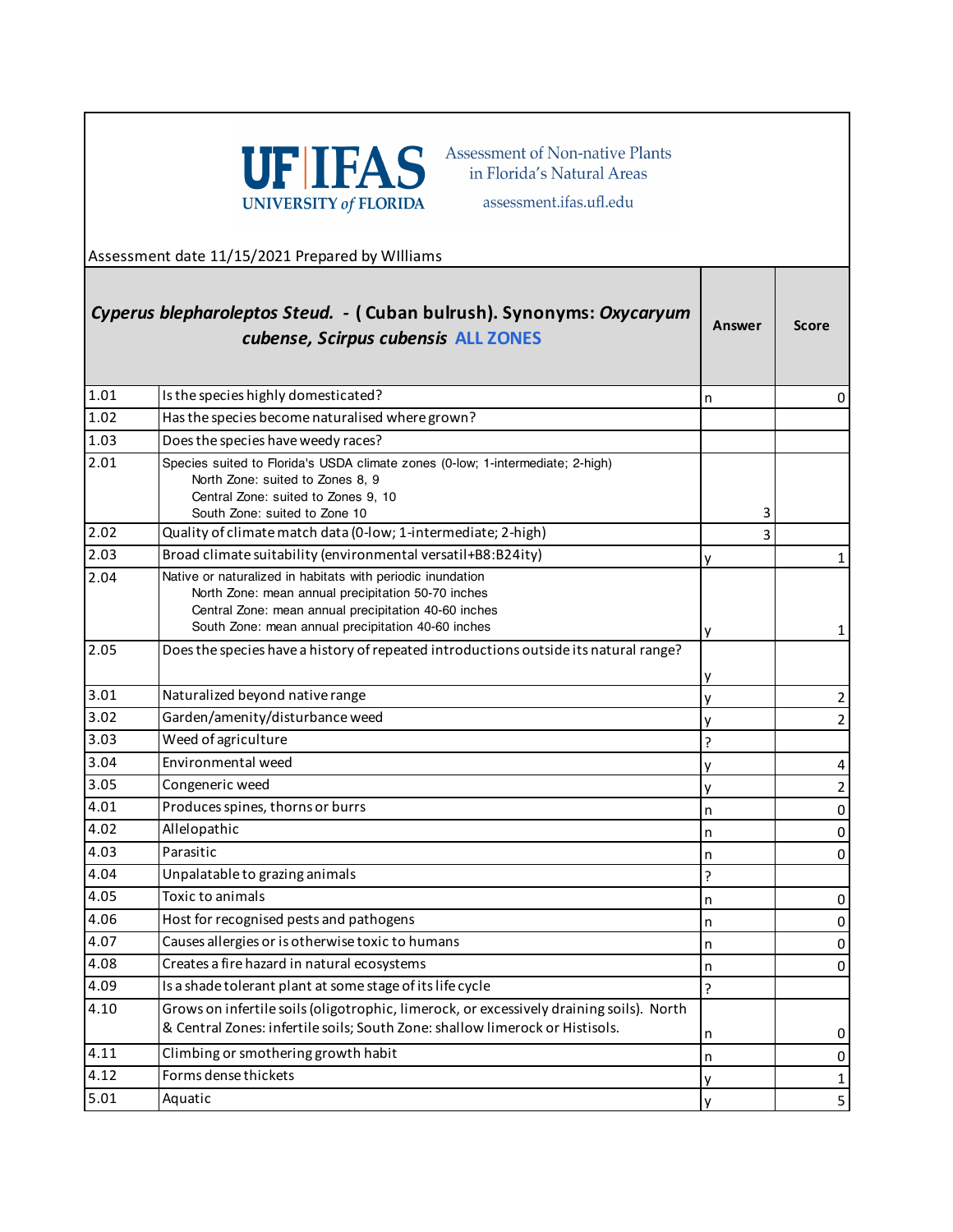

Assessment of Non-native Plants in Florida's Natural Areas

assessment.ifas.ufl.edu

Assessment date 11/15/2021 Prepared by WIlliams

## **Answer Score** *Cyperus blepharoleptos Steud. -* **( Cuban bulrush). Synonyms:** *Oxycaryum cubense, Scirpus cubensis* **ALL ZONES**

| 1.01              | Is the species highly domesticated?                                                                                                                                                                                            | n | 0              |
|-------------------|--------------------------------------------------------------------------------------------------------------------------------------------------------------------------------------------------------------------------------|---|----------------|
| 1.02              | Has the species become naturalised where grown?                                                                                                                                                                                |   |                |
| 1.03              | Does the species have weedy races?                                                                                                                                                                                             |   |                |
| 2.01              | Species suited to Florida's USDA climate zones (0-low; 1-intermediate; 2-high)<br>North Zone: suited to Zones 8, 9<br>Central Zone: suited to Zones 9, 10<br>South Zone: suited to Zone 10                                     | 3 |                |
| 2.02              | Quality of climate match data (0-low; 1-intermediate; 2-high)                                                                                                                                                                  | 3 |                |
| 2.03              | Broad climate suitability (environmental versatil+B8:B24ity)                                                                                                                                                                   |   | 1              |
| 2.04              | Native or naturalized in habitats with periodic inundation<br>North Zone: mean annual precipitation 50-70 inches<br>Central Zone: mean annual precipitation 40-60 inches<br>South Zone: mean annual precipitation 40-60 inches |   | 1              |
| 2.05              | Does the species have a history of repeated introductions outside its natural range?                                                                                                                                           |   |                |
| 3.01              | Naturalized beyond native range                                                                                                                                                                                                | ٧ | $\overline{2}$ |
| 3.02              | Garden/amenity/disturbance weed                                                                                                                                                                                                |   | $\overline{2}$ |
| 3.03              | Weed of agriculture                                                                                                                                                                                                            | ς |                |
| 3.04              | Environmental weed                                                                                                                                                                                                             |   | 4              |
| 3.05              | Congeneric weed                                                                                                                                                                                                                | v | $\overline{2}$ |
| 4.01              | Produces spines, thorns or burrs                                                                                                                                                                                               | n | $\pmb{0}$      |
| 4.02              | Allelopathic                                                                                                                                                                                                                   | n | 0              |
| $\overline{4.03}$ | Parasitic                                                                                                                                                                                                                      | n | $\pmb{0}$      |
| 4.04              | Unpalatable to grazing animals                                                                                                                                                                                                 | ς |                |
| 4.05              | Toxic to animals                                                                                                                                                                                                               | n | 0              |
| 4.06              | Host for recognised pests and pathogens                                                                                                                                                                                        | n | 0              |
| 4.07              | Causes allergies or is otherwise toxic to humans                                                                                                                                                                               | n | 0              |
| 4.08              | Creates a fire hazard in natural ecosystems                                                                                                                                                                                    | n | 0              |
| 4.09              | Is a shade tolerant plant at some stage of its life cycle                                                                                                                                                                      | 2 |                |
| 4.10              | Grows on infertile soils (oligotrophic, limerock, or excessively draining soils). North<br>& Central Zones: infertile soils; South Zone: shallow limerock or Histisols.                                                        | n | 0              |
| 4.11              | Climbing or smothering growth habit                                                                                                                                                                                            | n | 0              |
| 4.12              | Forms dense thickets                                                                                                                                                                                                           |   | 1              |
| 5.01              | Aquatic                                                                                                                                                                                                                        |   | 5              |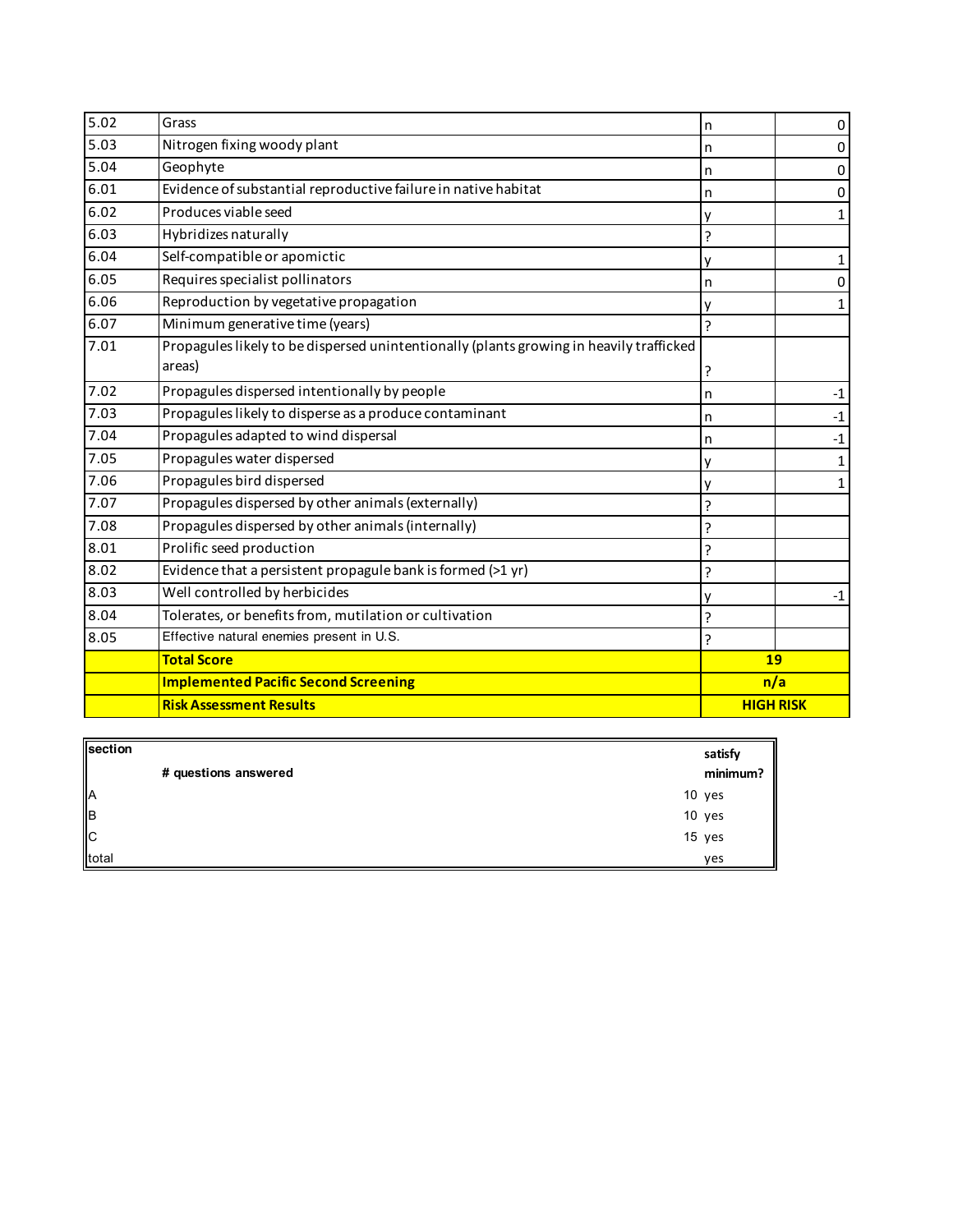| 5.02 | Grass                                                                                   | n                | 0         |
|------|-----------------------------------------------------------------------------------------|------------------|-----------|
| 5.03 | Nitrogen fixing woody plant                                                             | n                | 0         |
| 5.04 | Geophyte                                                                                |                  | 0         |
| 6.01 | Evidence of substantial reproductive failure in native habitat                          | n                | $\pmb{0}$ |
| 6.02 | Produces viable seed                                                                    |                  | 1         |
| 6.03 | Hybridizes naturally                                                                    | Ċ.               |           |
| 6.04 | Self-compatible or apomictic                                                            |                  | 1         |
| 6.05 | Requires specialist pollinators                                                         | n                | 0         |
| 6.06 | Reproduction by vegetative propagation                                                  |                  | 1         |
| 6.07 | Minimum generative time (years)                                                         | Ç                |           |
| 7.01 | Propagules likely to be dispersed unintentionally (plants growing in heavily trafficked |                  |           |
|      | areas)                                                                                  |                  |           |
| 7.02 | Propagules dispersed intentionally by people                                            | n                | $-1$      |
| 7.03 | Propagules likely to disperse as a produce contaminant                                  | n                | $-1$      |
| 7.04 | Propagules adapted to wind dispersal<br>n                                               |                  | $-1$      |
| 7.05 | Propagules water dispersed                                                              |                  | 1         |
| 7.06 | Propagules bird dispersed                                                               |                  | 1         |
| 7.07 | Propagules dispersed by other animals (externally)                                      | ς                |           |
| 7.08 | Propagules dispersed by other animals (internally)                                      | ς                |           |
| 8.01 | Prolific seed production                                                                | 5.               |           |
| 8.02 | Evidence that a persistent propagule bank is formed (>1 yr)                             | Ċ.               |           |
| 8.03 | Well controlled by herbicides                                                           |                  | $-1$      |
| 8.04 | Tolerates, or benefits from, mutilation or cultivation                                  | ς                |           |
| 8.05 | Effective natural enemies present in U.S.                                               | Ç                |           |
|      | <b>Total Score</b>                                                                      | 19               |           |
|      | <b>Implemented Pacific Second Screening</b>                                             | n/a              |           |
|      | <b>Risk Assessment Results</b>                                                          | <b>HIGH RISK</b> |           |

| section                 |                      | satisfy  |
|-------------------------|----------------------|----------|
|                         | # questions answered | minimum? |
| <b>A</b>                |                      | 10 yes   |
| $\parallel$             |                      | 10 yes   |
| $\overline{\mathsf{c}}$ |                      | 15 yes   |
| total                   |                      | ves      |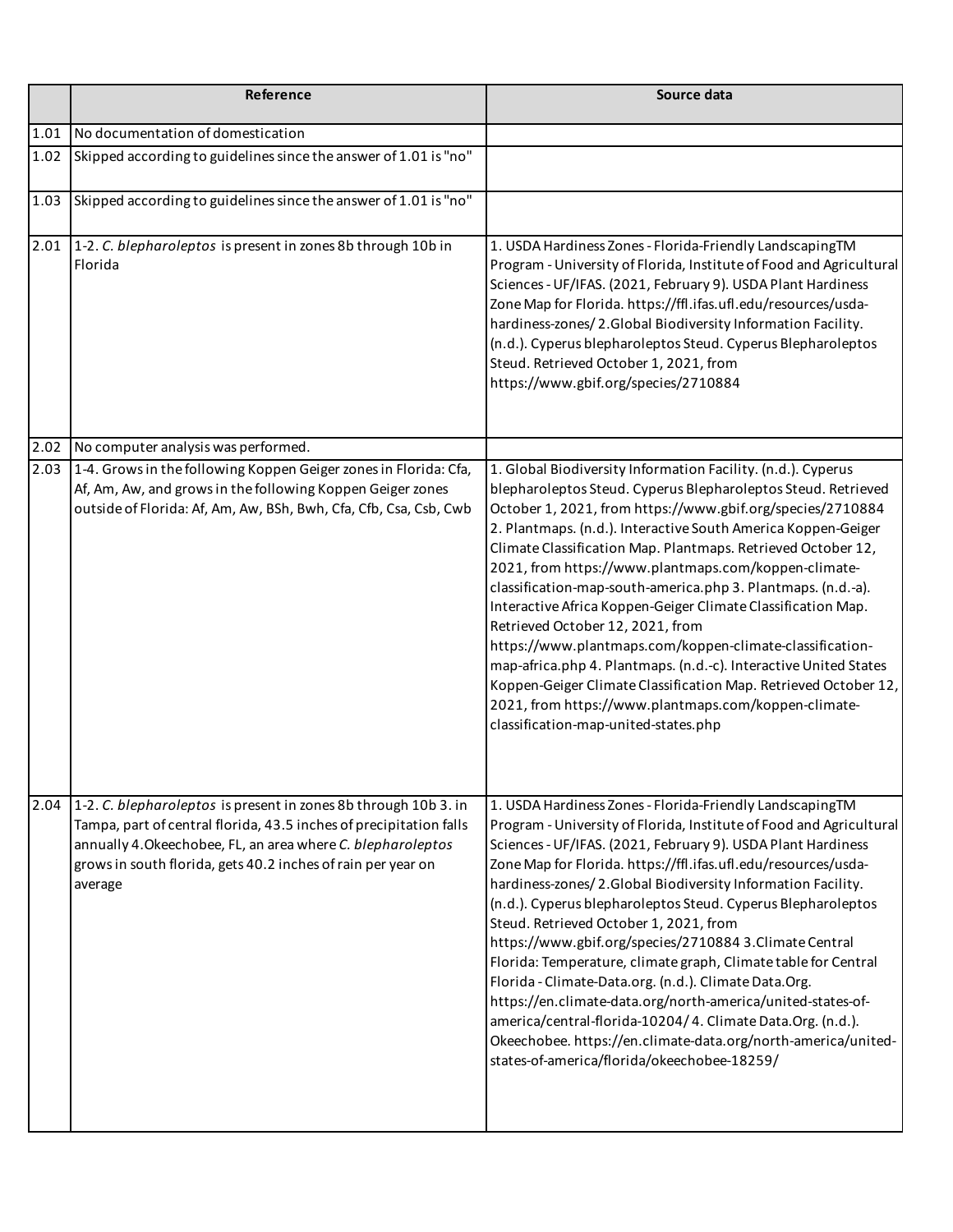|      | Reference                                                                                                                                                                                                                                                                       | Source data                                                                                                                                                                                                                                                                                                                                                                                                                                                                                                                                                                                                                                                                                                                                                                                                                                                                  |
|------|---------------------------------------------------------------------------------------------------------------------------------------------------------------------------------------------------------------------------------------------------------------------------------|------------------------------------------------------------------------------------------------------------------------------------------------------------------------------------------------------------------------------------------------------------------------------------------------------------------------------------------------------------------------------------------------------------------------------------------------------------------------------------------------------------------------------------------------------------------------------------------------------------------------------------------------------------------------------------------------------------------------------------------------------------------------------------------------------------------------------------------------------------------------------|
| 1.01 | No documentation of domestication                                                                                                                                                                                                                                               |                                                                                                                                                                                                                                                                                                                                                                                                                                                                                                                                                                                                                                                                                                                                                                                                                                                                              |
| 1.02 | Skipped according to guidelines since the answer of 1.01 is "no"                                                                                                                                                                                                                |                                                                                                                                                                                                                                                                                                                                                                                                                                                                                                                                                                                                                                                                                                                                                                                                                                                                              |
| 1.03 | Skipped according to guidelines since the answer of 1.01 is "no"                                                                                                                                                                                                                |                                                                                                                                                                                                                                                                                                                                                                                                                                                                                                                                                                                                                                                                                                                                                                                                                                                                              |
| 2.01 | 1-2. C. blepharoleptos is present in zones 8b through 10b in<br>Florida                                                                                                                                                                                                         | 1. USDA Hardiness Zones - Florida-Friendly LandscapingTM<br>Program - University of Florida, Institute of Food and Agricultural<br>Sciences - UF/IFAS. (2021, February 9). USDA Plant Hardiness<br>Zone Map for Florida. https://ffl.ifas.ufl.edu/resources/usda-<br>hardiness-zones/2.Global Biodiversity Information Facility.<br>(n.d.). Cyperus blepharoleptos Steud. Cyperus Blepharoleptos<br>Steud. Retrieved October 1, 2021, from<br>https://www.gbif.org/species/2710884                                                                                                                                                                                                                                                                                                                                                                                           |
| 2.02 | No computer analysis was performed.                                                                                                                                                                                                                                             |                                                                                                                                                                                                                                                                                                                                                                                                                                                                                                                                                                                                                                                                                                                                                                                                                                                                              |
| 2.03 | 1-4. Grows in the following Koppen Geiger zones in Florida: Cfa,<br>Af, Am, Aw, and grows in the following Koppen Geiger zones<br>outside of Florida: Af, Am, Aw, BSh, Bwh, Cfa, Cfb, Csa, Csb, Cwb                                                                             | 1. Global Biodiversity Information Facility. (n.d.). Cyperus<br>blepharoleptos Steud. Cyperus Blepharoleptos Steud. Retrieved<br>October 1, 2021, from https://www.gbif.org/species/2710884<br>2. Plantmaps. (n.d.). Interactive South America Koppen-Geiger<br>Climate Classification Map. Plantmaps. Retrieved October 12,<br>2021, from https://www.plantmaps.com/koppen-climate-<br>classification-map-south-america.php 3. Plantmaps. (n.d.-a).<br>Interactive Africa Koppen-Geiger Climate Classification Map.<br>Retrieved October 12, 2021, from<br>https://www.plantmaps.com/koppen-climate-classification-<br>map-africa.php 4. Plantmaps. (n.d.-c). Interactive United States<br>Koppen-Geiger Climate Classification Map. Retrieved October 12,<br>2021, from https://www.plantmaps.com/koppen-climate-<br>classification-map-united-states.php                  |
| 2.04 | 1-2. C. blepharoleptos is present in zones 8b through 10b 3. in<br>Tampa, part of central florida, 43.5 inches of precipitation falls<br>annually 4. Okeechobee, FL, an area where C. blepharoleptos<br>grows in south florida, gets 40.2 inches of rain per year on<br>average | 1. USDA Hardiness Zones - Florida-Friendly LandscapingTM<br>Program - University of Florida, Institute of Food and Agricultural<br>Sciences - UF/IFAS. (2021, February 9). USDA Plant Hardiness<br>Zone Map for Florida. https://ffl.ifas.ufl.edu/resources/usda-<br>hardiness-zones/2.Global Biodiversity Information Facility.<br>(n.d.). Cyperus blepharoleptos Steud. Cyperus Blepharoleptos<br>Steud. Retrieved October 1, 2021, from<br>https://www.gbif.org/species/2710884 3.Climate Central<br>Florida: Temperature, climate graph, Climate table for Central<br>Florida - Climate-Data.org. (n.d.). Climate Data.Org.<br>https://en.climate-data.org/north-america/united-states-of-<br>america/central-florida-10204/4. Climate Data.Org. (n.d.).<br>Okeechobee. https://en.climate-data.org/north-america/united-<br>states-of-america/florida/okeechobee-18259/ |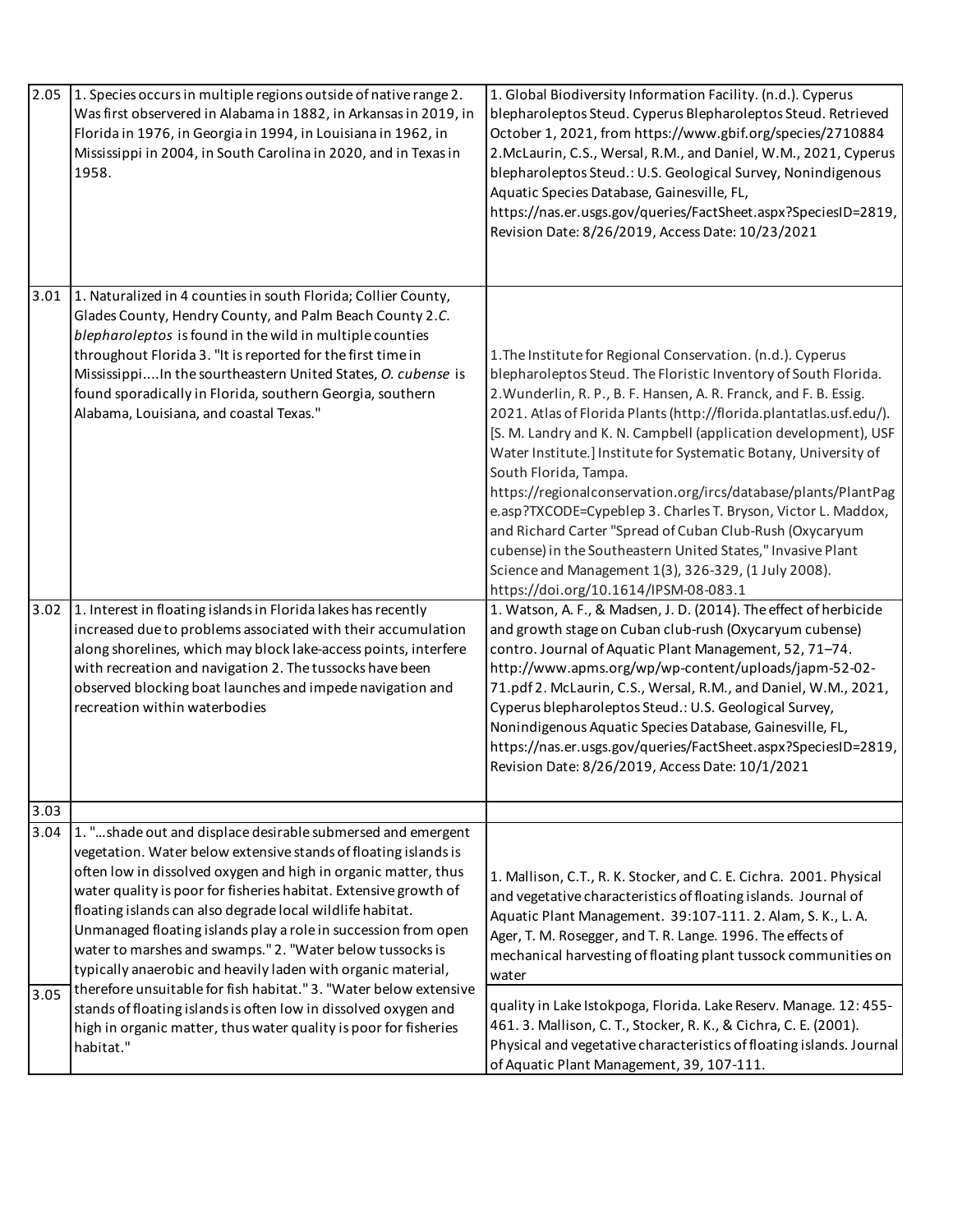| 2.05 | 1. Species occurs in multiple regions outside of native range 2.<br>Was first observered in Alabama in 1882, in Arkansas in 2019, in<br>Florida in 1976, in Georgia in 1994, in Louisiana in 1962, in<br>Mississippi in 2004, in South Carolina in 2020, and in Texas in<br>1958.                                                                                                                                                                                                                                                | 1. Global Biodiversity Information Facility. (n.d.). Cyperus<br>blepharoleptos Steud. Cyperus Blepharoleptos Steud. Retrieved<br>October 1, 2021, from https://www.gbif.org/species/2710884<br>2. McLaurin, C.S., Wersal, R.M., and Daniel, W.M., 2021, Cyperus<br>blepharoleptos Steud.: U.S. Geological Survey, Nonindigenous<br>Aquatic Species Database, Gainesville, FL,<br>https://nas.er.usgs.gov/queries/FactSheet.aspx?SpeciesID=2819,<br>Revision Date: 8/26/2019, Access Date: 10/23/2021                                                                                                                                                                                                                                                                                                      |
|------|----------------------------------------------------------------------------------------------------------------------------------------------------------------------------------------------------------------------------------------------------------------------------------------------------------------------------------------------------------------------------------------------------------------------------------------------------------------------------------------------------------------------------------|-----------------------------------------------------------------------------------------------------------------------------------------------------------------------------------------------------------------------------------------------------------------------------------------------------------------------------------------------------------------------------------------------------------------------------------------------------------------------------------------------------------------------------------------------------------------------------------------------------------------------------------------------------------------------------------------------------------------------------------------------------------------------------------------------------------|
| 3.01 | 1. Naturalized in 4 counties in south Florida; Collier County,<br>Glades County, Hendry County, and Palm Beach County 2.C.<br>blepharoleptos is found in the wild in multiple counties<br>throughout Florida 3. "It is reported for the first time in<br>MississippiIn the sourtheastern United States, O. cubense is<br>found sporadically in Florida, southern Georgia, southern<br>Alabama, Louisiana, and coastal Texas."                                                                                                    | 1. The Institute for Regional Conservation. (n.d.). Cyperus<br>blepharoleptos Steud. The Floristic Inventory of South Florida.<br>2. Wunderlin, R. P., B. F. Hansen, A. R. Franck, and F. B. Essig.<br>2021. Atlas of Florida Plants (http://florida.plantatlas.usf.edu/).<br>[S. M. Landry and K. N. Campbell (application development), USF<br>Water Institute.] Institute for Systematic Botany, University of<br>South Florida, Tampa.<br>https://regionalconservation.org/ircs/database/plants/PlantPag<br>e.asp?TXCODE=Cypeblep 3. Charles T. Bryson, Victor L. Maddox,<br>and Richard Carter "Spread of Cuban Club-Rush (Oxycaryum<br>cubense) in the Southeastern United States," Invasive Plant<br>Science and Management 1(3), 326-329, (1 July 2008).<br>https://doi.org/10.1614/IPSM-08-083.1 |
| 3.02 | 1. Interest in floating islands in Florida lakes has recently<br>increased due to problems associated with their accumulation<br>along shorelines, which may block lake-access points, interfere<br>with recreation and navigation 2. The tussocks have been<br>observed blocking boat launches and impede navigation and<br>recreation within waterbodies                                                                                                                                                                       | 1. Watson, A. F., & Madsen, J. D. (2014). The effect of herbicide<br>and growth stage on Cuban club-rush (Oxycaryum cubense)<br>contro. Journal of Aquatic Plant Management, 52, 71-74.<br>http://www.apms.org/wp/wp-content/uploads/japm-52-02-<br>71.pdf 2. McLaurin, C.S., Wersal, R.M., and Daniel, W.M., 2021,<br>Cyperus blepharoleptos Steud.: U.S. Geological Survey,<br>Nonindigenous Aquatic Species Database, Gainesville, FL,<br>https://nas.er.usgs.gov/queries/FactSheet.aspx?SpeciesID=2819,<br>Revision Date: 8/26/2019, Access Date: 10/1/2021                                                                                                                                                                                                                                           |
| 3.03 |                                                                                                                                                                                                                                                                                                                                                                                                                                                                                                                                  |                                                                                                                                                                                                                                                                                                                                                                                                                                                                                                                                                                                                                                                                                                                                                                                                           |
| 3.04 | 1. "shade out and displace desirable submersed and emergent<br>vegetation. Water below extensive stands of floating islands is<br>often low in dissolved oxygen and high in organic matter, thus<br>water quality is poor for fisheries habitat. Extensive growth of<br>floating islands can also degrade local wildlife habitat.<br>Unmanaged floating islands play a role in succession from open<br>water to marshes and swamps." 2. "Water below tussocks is<br>typically anaerobic and heavily laden with organic material, | 1. Mallison, C.T., R. K. Stocker, and C. E. Cichra. 2001. Physical<br>and vegetative characteristics of floating islands. Journal of<br>Aquatic Plant Management. 39:107-111. 2. Alam, S. K., L. A.<br>Ager, T. M. Rosegger, and T. R. Lange. 1996. The effects of<br>mechanical harvesting of floating plant tussock communities on<br>water                                                                                                                                                                                                                                                                                                                                                                                                                                                             |
| 3.05 | therefore unsuitable for fish habitat." 3. "Water below extensive<br>stands of floating islands is often low in dissolved oxygen and<br>high in organic matter, thus water quality is poor for fisheries<br>habitat."                                                                                                                                                                                                                                                                                                            | quality in Lake Istokpoga, Florida. Lake Reserv. Manage. 12: 455-<br>461. 3. Mallison, C. T., Stocker, R. K., & Cichra, C. E. (2001).<br>Physical and vegetative characteristics of floating islands. Journal<br>of Aquatic Plant Management, 39, 107-111.                                                                                                                                                                                                                                                                                                                                                                                                                                                                                                                                                |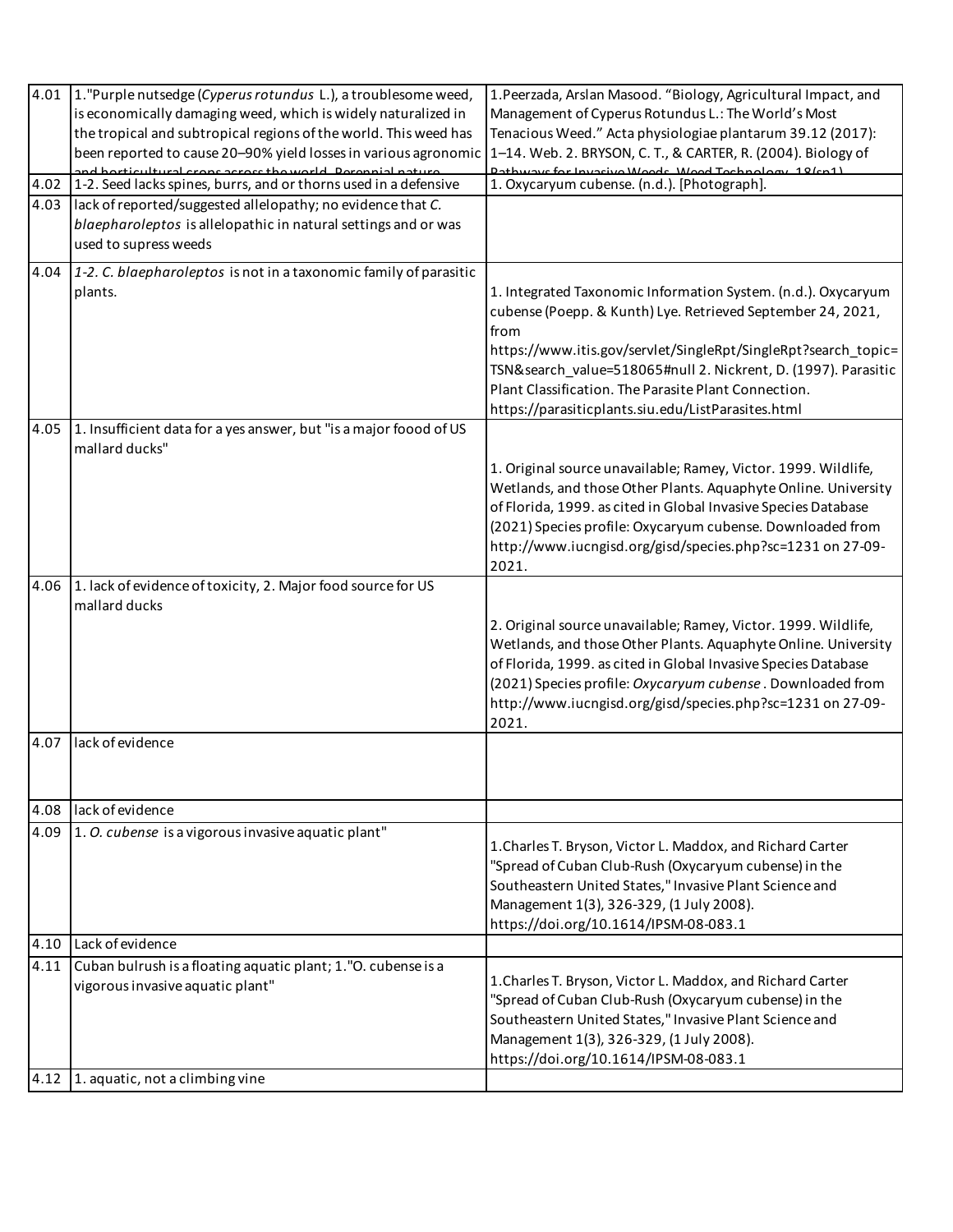| 4.01 | 1. "Purple nutsedge (Cyperus rotundus L.), a troublesome weed,                                                                | 1. Peerzada, Arslan Masood. "Biology, Agricultural Impact, and                                                                    |
|------|-------------------------------------------------------------------------------------------------------------------------------|-----------------------------------------------------------------------------------------------------------------------------------|
|      | is economically damaging weed, which is widely naturalized in                                                                 | Management of Cyperus Rotundus L.: The World's Most                                                                               |
|      | the tropical and subtropical regions of the world. This weed has                                                              | Tenacious Weed." Acta physiologiae plantarum 39.12 (2017):                                                                        |
|      | been reported to cause 20-90% yield losses in various agronomic                                                               | 1-14. Web. 2. BRYSON, C. T., & CARTER, R. (2004). Biology of                                                                      |
|      | d horticultural crons across tho world. Decennial natural<br>1-2. Seed lacks spines, burrs, and or thorns used in a defensive | auctor Investivo Moode Mood Tochnology 19/cn1)<br>1. Oxycaryum cubense. (n.d.). [Photograph].                                     |
| 4.02 |                                                                                                                               |                                                                                                                                   |
| 4.03 | lack of reported/suggested allelopathy; no evidence that C.<br>blaepharoleptos is allelopathic in natural settings and or was |                                                                                                                                   |
|      | used to supress weeds                                                                                                         |                                                                                                                                   |
|      |                                                                                                                               |                                                                                                                                   |
| 4.04 | 1-2. C. blaepharoleptos is not in a taxonomic family of parasitic                                                             |                                                                                                                                   |
|      | plants.                                                                                                                       | 1. Integrated Taxonomic Information System. (n.d.). Oxycaryum                                                                     |
|      |                                                                                                                               | cubense (Poepp. & Kunth) Lye. Retrieved September 24, 2021,                                                                       |
|      |                                                                                                                               | from                                                                                                                              |
|      |                                                                                                                               | https://www.itis.gov/servlet/SingleRpt/SingleRpt?search_topic=<br>TSN& search_value=518065#null 2. Nickrent, D. (1997). Parasitic |
|      |                                                                                                                               | Plant Classification. The Parasite Plant Connection.                                                                              |
|      |                                                                                                                               | https://parasiticplants.siu.edu/ListParasites.html                                                                                |
| 4.05 | 1. Insufficient data for a yes answer, but "is a major foood of US                                                            |                                                                                                                                   |
|      | mallard ducks"                                                                                                                |                                                                                                                                   |
|      |                                                                                                                               | 1. Original source unavailable; Ramey, Victor. 1999. Wildlife,                                                                    |
|      |                                                                                                                               | Wetlands, and those Other Plants. Aquaphyte Online. University                                                                    |
|      |                                                                                                                               | of Florida, 1999. as cited in Global Invasive Species Database                                                                    |
|      |                                                                                                                               | (2021) Species profile: Oxycaryum cubense. Downloaded from                                                                        |
|      |                                                                                                                               | http://www.iucngisd.org/gisd/species.php?sc=1231 on 27-09-                                                                        |
|      |                                                                                                                               | 2021.                                                                                                                             |
| 4.06 | 1. lack of evidence of toxicity, 2. Major food source for US                                                                  |                                                                                                                                   |
|      | mallard ducks                                                                                                                 |                                                                                                                                   |
|      |                                                                                                                               | 2. Original source unavailable; Ramey, Victor. 1999. Wildlife,<br>Wetlands, and those Other Plants. Aquaphyte Online. University  |
|      |                                                                                                                               | of Florida, 1999. as cited in Global Invasive Species Database                                                                    |
|      |                                                                                                                               | (2021) Species profile: Oxycaryum cubense . Downloaded from                                                                       |
|      |                                                                                                                               | http://www.iucngisd.org/gisd/species.php?sc=1231 on 27-09-                                                                        |
|      |                                                                                                                               | 2021.                                                                                                                             |
| 4.07 | lack of evidence                                                                                                              |                                                                                                                                   |
|      |                                                                                                                               |                                                                                                                                   |
|      |                                                                                                                               |                                                                                                                                   |
| 4.08 | lack of evidence                                                                                                              |                                                                                                                                   |
| 4.09 | 1. O. cubense is a vigorous invasive aquatic plant"                                                                           |                                                                                                                                   |
|      |                                                                                                                               | 1. Charles T. Bryson, Victor L. Maddox, and Richard Carter                                                                        |
|      |                                                                                                                               | "Spread of Cuban Club-Rush (Oxycaryum cubense) in the                                                                             |
|      |                                                                                                                               | Southeastern United States," Invasive Plant Science and                                                                           |
|      |                                                                                                                               | Management 1(3), 326-329, (1 July 2008).                                                                                          |
|      |                                                                                                                               | https://doi.org/10.1614/IPSM-08-083.1                                                                                             |
| 4.10 | Lack of evidence                                                                                                              |                                                                                                                                   |
| 4.11 | Cuban bulrush is a floating aquatic plant; 1."O. cubense is a                                                                 | 1. Charles T. Bryson, Victor L. Maddox, and Richard Carter                                                                        |
|      | vigorous invasive aquatic plant"                                                                                              | "Spread of Cuban Club-Rush (Oxycaryum cubense) in the                                                                             |
|      |                                                                                                                               | Southeastern United States," Invasive Plant Science and                                                                           |
|      |                                                                                                                               | Management 1(3), 326-329, (1 July 2008).                                                                                          |
|      |                                                                                                                               | https://doi.org/10.1614/IPSM-08-083.1                                                                                             |
| 4.12 | 1. aquatic, not a climbing vine                                                                                               |                                                                                                                                   |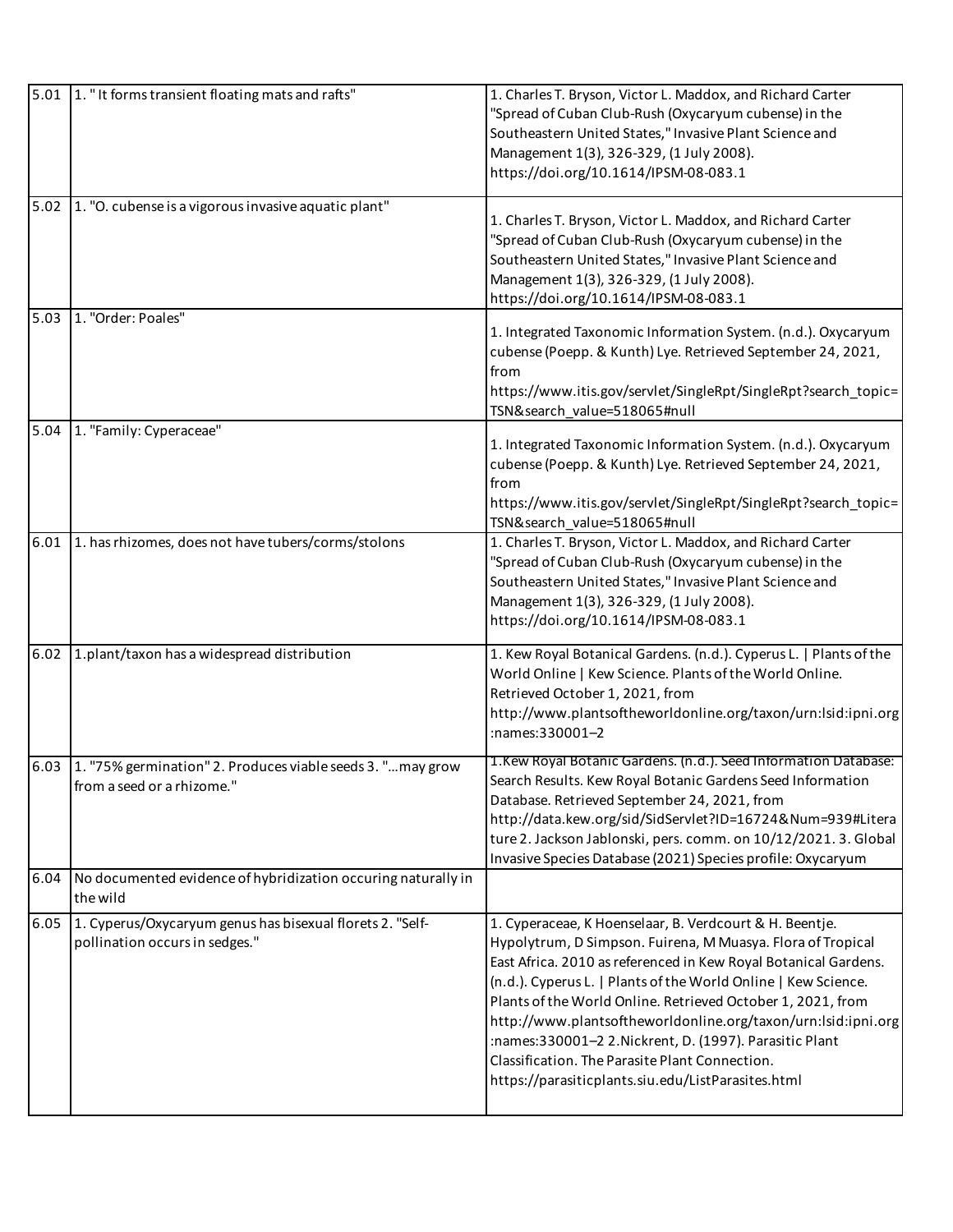| 5.01 | 1. "It forms transient floating mats and rafts"                                             | 1. Charles T. Bryson, Victor L. Maddox, and Richard Carter<br>"Spread of Cuban Club-Rush (Oxycaryum cubense) in the<br>Southeastern United States," Invasive Plant Science and<br>Management 1(3), 326-329, (1 July 2008).<br>https://doi.org/10.1614/IPSM-08-083.1                                                                                                                                                                                                                                                                                            |
|------|---------------------------------------------------------------------------------------------|----------------------------------------------------------------------------------------------------------------------------------------------------------------------------------------------------------------------------------------------------------------------------------------------------------------------------------------------------------------------------------------------------------------------------------------------------------------------------------------------------------------------------------------------------------------|
| 5.02 | 1. "O. cubense is a vigorous invasive aquatic plant"                                        | 1. Charles T. Bryson, Victor L. Maddox, and Richard Carter<br>"Spread of Cuban Club-Rush (Oxycaryum cubense) in the<br>Southeastern United States," Invasive Plant Science and<br>Management 1(3), 326-329, (1 July 2008).<br>https://doi.org/10.1614/IPSM-08-083.1                                                                                                                                                                                                                                                                                            |
| 5.03 | 1. "Order: Poales"                                                                          | 1. Integrated Taxonomic Information System. (n.d.). Oxycaryum<br>cubense (Poepp. & Kunth) Lye. Retrieved September 24, 2021,<br>from<br>https://www.itis.gov/servlet/SingleRpt/SingleRpt?search_topic=<br>TSN&search_value=518065#null                                                                                                                                                                                                                                                                                                                         |
| 5.04 | 1. "Family: Cyperaceae"                                                                     | 1. Integrated Taxonomic Information System. (n.d.). Oxycaryum<br>cubense (Poepp. & Kunth) Lye. Retrieved September 24, 2021,<br>from<br>https://www.itis.gov/servlet/SingleRpt/SingleRpt?search_topic=<br>TSN&search_value=518065#null                                                                                                                                                                                                                                                                                                                         |
| 6.01 | 1. has rhizomes, does not have tubers/corms/stolons                                         | 1. Charles T. Bryson, Victor L. Maddox, and Richard Carter<br>"Spread of Cuban Club-Rush (Oxycaryum cubense) in the<br>Southeastern United States," Invasive Plant Science and<br>Management 1(3), 326-329, (1 July 2008).<br>https://doi.org/10.1614/IPSM-08-083.1                                                                                                                                                                                                                                                                                            |
| 6.02 | 1.plant/taxon has a widespread distribution                                                 | 1. Kew Royal Botanical Gardens. (n.d.). Cyperus L.   Plants of the<br>World Online   Kew Science. Plants of the World Online.<br>Retrieved October 1, 2021, from<br>http://www.plantsoftheworldonline.org/taxon/urn:lsid:ipni.org<br>:names:330001-2                                                                                                                                                                                                                                                                                                           |
| 6.03 | 1. "75% germination" 2. Produces viable seeds 3. " may grow<br>from a seed or a rhizome."   | 1. Kew Royal Botanic Gardens. (n.d.). Seed Information Database:<br>Search Results. Kew Royal Botanic Gardens Seed Information<br>Database. Retrieved September 24, 2021, from<br>http://data.kew.org/sid/SidServlet?ID=16724&Num=939#Litera<br>ture 2. Jackson Jablonski, pers. comm. on 10/12/2021. 3. Global<br>Invasive Species Database (2021) Species profile: Oxycaryum                                                                                                                                                                                 |
| 6.04 | No documented evidence of hybridization occuring naturally in<br>the wild                   |                                                                                                                                                                                                                                                                                                                                                                                                                                                                                                                                                                |
| 6.05 | 1. Cyperus/Oxycaryum genus has bisexual florets 2. "Self-<br>pollination occurs in sedges." | 1. Cyperaceae, K Hoenselaar, B. Verdcourt & H. Beentje.<br>Hypolytrum, D Simpson. Fuirena, M Muasya. Flora of Tropical<br>East Africa. 2010 as referenced in Kew Royal Botanical Gardens.<br>(n.d.). Cyperus L.   Plants of the World Online   Kew Science.<br>Plants of the World Online. Retrieved October 1, 2021, from<br>http://www.plantsoftheworldonline.org/taxon/urn:lsid:ipni.org<br>:names:330001-2 2. Nickrent, D. (1997). Parasitic Plant<br>Classification. The Parasite Plant Connection.<br>https://parasiticplants.siu.edu/ListParasites.html |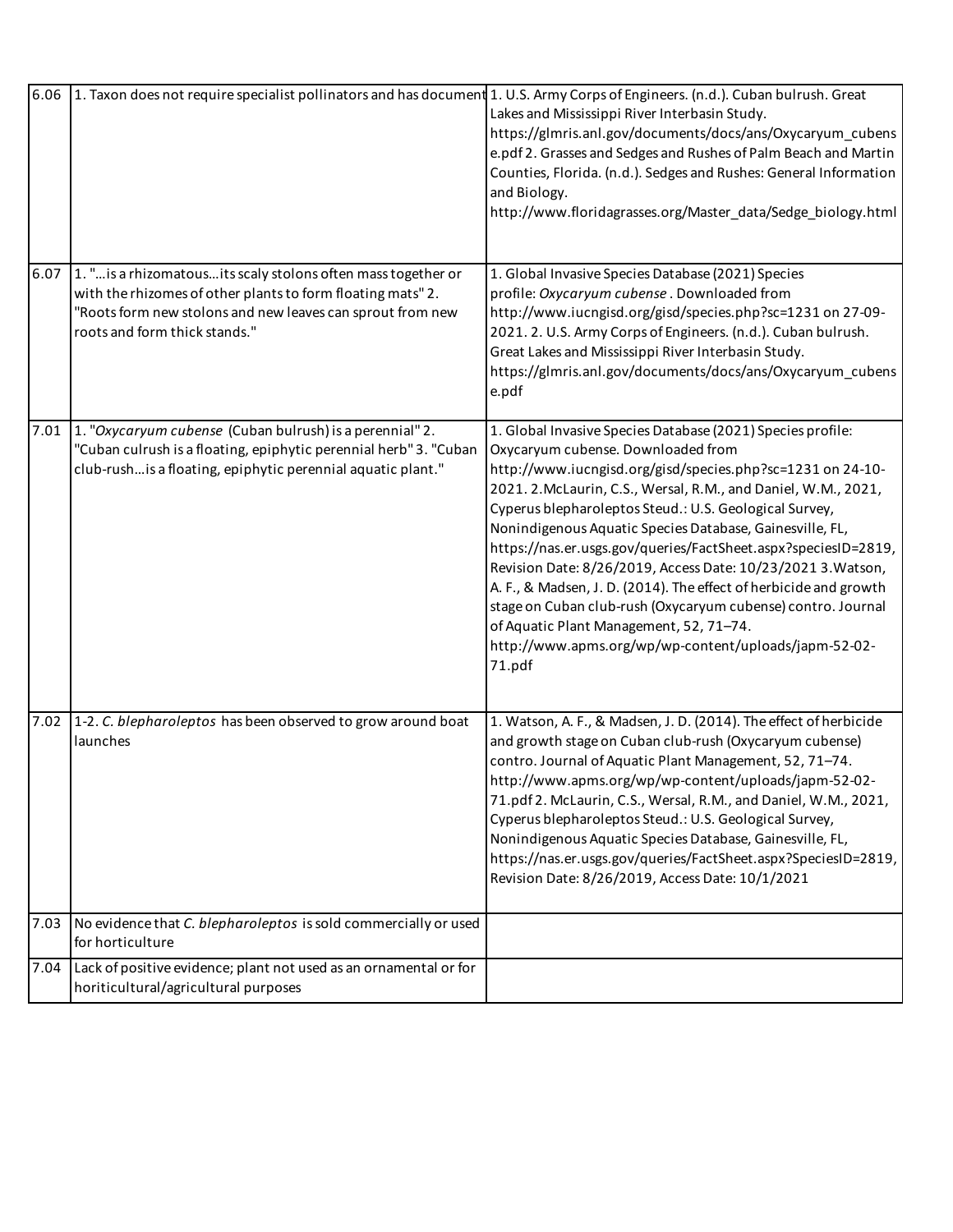|      | 6.06 1. Taxon does not require specialist pollinators and has document 1. U.S. Army Corps of Engineers. (n.d.). Cuban bulrush. Great                                                                                         | Lakes and Mississippi River Interbasin Study.<br>https://glmris.anl.gov/documents/docs/ans/Oxycaryum cubens<br>e.pdf 2. Grasses and Sedges and Rushes of Palm Beach and Martin<br>Counties, Florida. (n.d.). Sedges and Rushes: General Information<br>and Biology.<br>http://www.floridagrasses.org/Master_data/Sedge_biology.html                                                                                                                                                                                                                                                                                                                                                                                                          |
|------|------------------------------------------------------------------------------------------------------------------------------------------------------------------------------------------------------------------------------|----------------------------------------------------------------------------------------------------------------------------------------------------------------------------------------------------------------------------------------------------------------------------------------------------------------------------------------------------------------------------------------------------------------------------------------------------------------------------------------------------------------------------------------------------------------------------------------------------------------------------------------------------------------------------------------------------------------------------------------------|
| 6.07 | 1. " is a rhizomatous its scaly stolons often mass together or<br>with the rhizomes of other plants to form floating mats" 2.<br>'Roots form new stolons and new leaves can sprout from new<br>roots and form thick stands." | 1. Global Invasive Species Database (2021) Species<br>profile: Oxycaryum cubense . Downloaded from<br>http://www.iucngisd.org/gisd/species.php?sc=1231 on 27-09-<br>2021. 2. U.S. Army Corps of Engineers. (n.d.). Cuban bulrush.<br>Great Lakes and Mississippi River Interbasin Study.<br>https://glmris.anl.gov/documents/docs/ans/Oxycaryum_cubens<br>e.pdf                                                                                                                                                                                                                                                                                                                                                                              |
| 7.01 | 1. "Oxycaryum cubense (Cuban bulrush) is a perennial" 2.<br>"Cuban culrush is a floating, epiphytic perennial herb" 3. "Cuban<br>club-rush is a floating, epiphytic perennial aquatic plant."                                | 1. Global Invasive Species Database (2021) Species profile:<br>Oxycaryum cubense. Downloaded from<br>http://www.iucngisd.org/gisd/species.php?sc=1231 on 24-10-<br>2021. 2. McLaurin, C.S., Wersal, R.M., and Daniel, W.M., 2021,<br>Cyperus blepharoleptos Steud.: U.S. Geological Survey,<br>Nonindigenous Aquatic Species Database, Gainesville, FL,<br>https://nas.er.usgs.gov/queries/FactSheet.aspx?speciesID=2819,<br>Revision Date: 8/26/2019, Access Date: 10/23/2021 3. Watson,<br>A. F., & Madsen, J. D. (2014). The effect of herbicide and growth<br>stage on Cuban club-rush (Oxycaryum cubense) contro. Journal<br>of Aquatic Plant Management, 52, 71-74.<br>http://www.apms.org/wp/wp-content/uploads/japm-52-02-<br>71.pdf |
| 7.02 | 1-2. C. blepharoleptos has been observed to grow around boat<br>launches                                                                                                                                                     | 1. Watson, A. F., & Madsen, J. D. (2014). The effect of herbicide<br>and growth stage on Cuban club-rush (Oxycaryum cubense)<br>contro. Journal of Aquatic Plant Management, 52, 71-74.<br>http://www.apms.org/wp/wp-content/uploads/japm-52-02-<br>71.pdf 2. McLaurin, C.S., Wersal, R.M., and Daniel, W.M., 2021,<br>Cyperus blepharoleptos Steud.: U.S. Geological Survey,<br>Nonindigenous Aquatic Species Database, Gainesville, FL,<br>https://nas.er.usgs.gov/queries/FactSheet.aspx?SpeciesID=2819,<br>Revision Date: 8/26/2019, Access Date: 10/1/2021                                                                                                                                                                              |
| 7.03 | No evidence that C. blepharoleptos is sold commercially or used<br>for horticulture                                                                                                                                          |                                                                                                                                                                                                                                                                                                                                                                                                                                                                                                                                                                                                                                                                                                                                              |
|      | 7.04 Lack of positive evidence; plant not used as an ornamental or for<br>horiticultural/agricultural purposes                                                                                                               |                                                                                                                                                                                                                                                                                                                                                                                                                                                                                                                                                                                                                                                                                                                                              |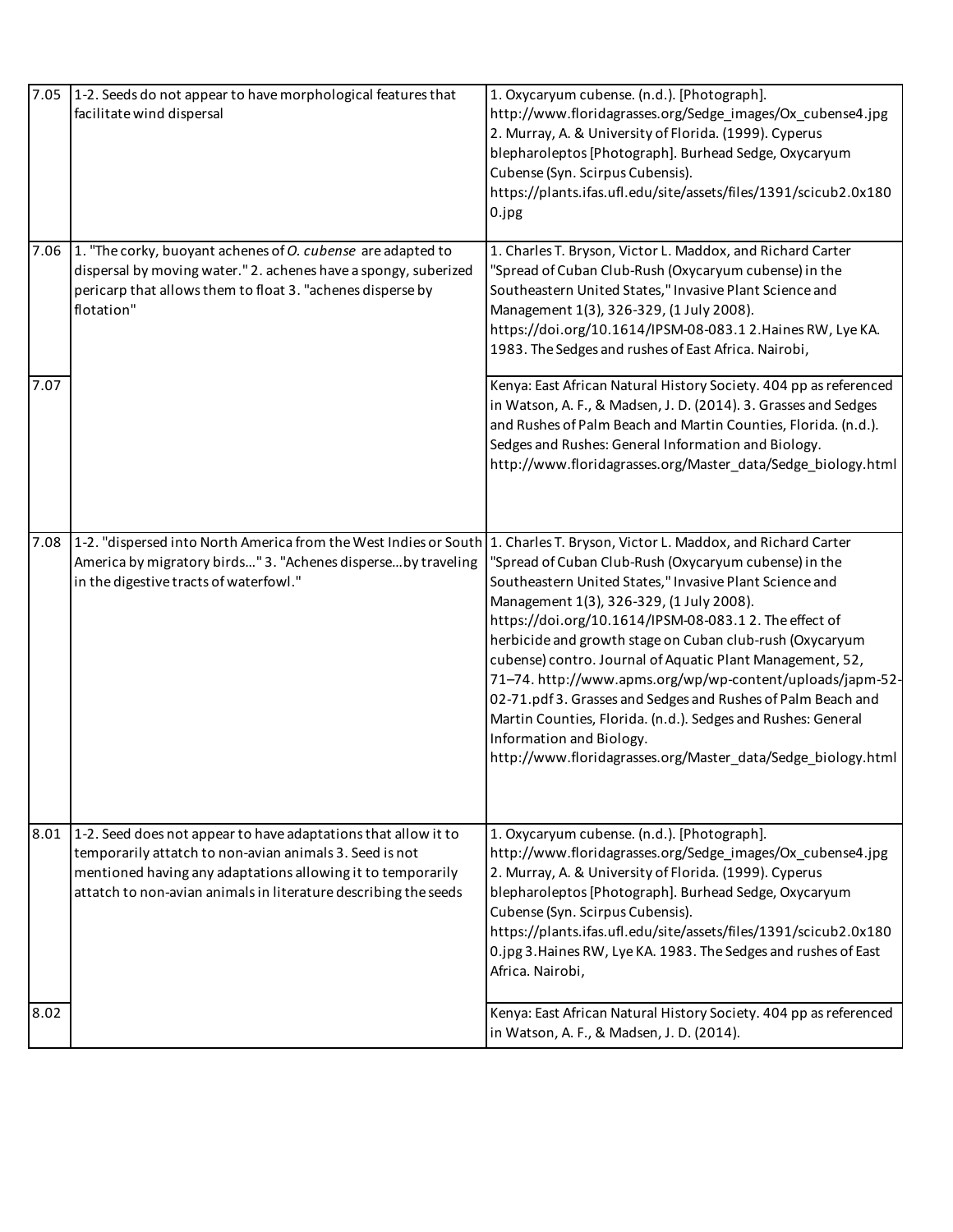| 7.05 | 1-2. Seeds do not appear to have morphological features that<br>facilitate wind dispersal                                                                                                                                                                   | 1. Oxycaryum cubense. (n.d.). [Photograph].<br>http://www.floridagrasses.org/Sedge_images/Ox_cubense4.jpg<br>2. Murray, A. & University of Florida. (1999). Cyperus<br>blepharoleptos [Photograph]. Burhead Sedge, Oxycaryum<br>Cubense (Syn. Scirpus Cubensis).<br>https://plants.ifas.ufl.edu/site/assets/files/1391/scicub2.0x180<br>0.jpg                                                                                                                                                                                                                                                                                           |
|------|-------------------------------------------------------------------------------------------------------------------------------------------------------------------------------------------------------------------------------------------------------------|-----------------------------------------------------------------------------------------------------------------------------------------------------------------------------------------------------------------------------------------------------------------------------------------------------------------------------------------------------------------------------------------------------------------------------------------------------------------------------------------------------------------------------------------------------------------------------------------------------------------------------------------|
| 7.06 | 1. "The corky, buoyant achenes of O. cubense are adapted to<br>dispersal by moving water." 2. achenes have a spongy, suberized<br>pericarp that allows them to float 3. "achenes disperse by<br>flotation"                                                  | 1. Charles T. Bryson, Victor L. Maddox, and Richard Carter<br>"Spread of Cuban Club-Rush (Oxycaryum cubense) in the<br>Southeastern United States," Invasive Plant Science and<br>Management 1(3), 326-329, (1 July 2008).<br>https://doi.org/10.1614/IPSM-08-083.12.Haines RW, Lye KA.<br>1983. The Sedges and rushes of East Africa. Nairobi,                                                                                                                                                                                                                                                                                         |
| 7.07 |                                                                                                                                                                                                                                                             | Kenya: East African Natural History Society. 404 pp as referenced<br>in Watson, A. F., & Madsen, J. D. (2014). 3. Grasses and Sedges<br>and Rushes of Palm Beach and Martin Counties, Florida. (n.d.).<br>Sedges and Rushes: General Information and Biology.<br>http://www.floridagrasses.org/Master_data/Sedge_biology.html                                                                                                                                                                                                                                                                                                           |
| 7.08 | 1-2. "dispersed into North America from the West Indies or South 1. Charles T. Bryson, Victor L. Maddox, and Richard Carter<br>America by migratory birds" 3. "Achenes disperse by traveling<br>in the digestive tracts of waterfowl."                      | "Spread of Cuban Club-Rush (Oxycaryum cubense) in the<br>Southeastern United States," Invasive Plant Science and<br>Management 1(3), 326-329, (1 July 2008).<br>https://doi.org/10.1614/IPSM-08-083.12. The effect of<br>herbicide and growth stage on Cuban club-rush (Oxycaryum<br>cubense) contro. Journal of Aquatic Plant Management, 52,<br>71-74. http://www.apms.org/wp/wp-content/uploads/japm-52-<br>02-71.pdf 3. Grasses and Sedges and Rushes of Palm Beach and<br>Martin Counties, Florida. (n.d.). Sedges and Rushes: General<br>Information and Biology.<br>http://www.floridagrasses.org/Master_data/Sedge_biology.html |
| 8.01 | 1-2. Seed does not appear to have adaptations that allow it to<br>temporarily attatch to non-avian animals 3. Seed is not<br>mentioned having any adaptations allowing it to temporarily<br>attatch to non-avian animals in literature describing the seeds | 1. Oxycaryum cubense. (n.d.). [Photograph].<br>http://www.floridagrasses.org/Sedge_images/Ox_cubense4.jpg<br>2. Murray, A. & University of Florida. (1999). Cyperus<br>blepharoleptos [Photograph]. Burhead Sedge, Oxycaryum<br>Cubense (Syn. Scirpus Cubensis).<br>https://plants.ifas.ufl.edu/site/assets/files/1391/scicub2.0x180<br>0.jpg 3. Haines RW, Lye KA. 1983. The Sedges and rushes of East<br>Africa. Nairobi,                                                                                                                                                                                                             |
| 8.02 |                                                                                                                                                                                                                                                             | Kenya: East African Natural History Society. 404 pp as referenced<br>in Watson, A. F., & Madsen, J. D. (2014).                                                                                                                                                                                                                                                                                                                                                                                                                                                                                                                          |